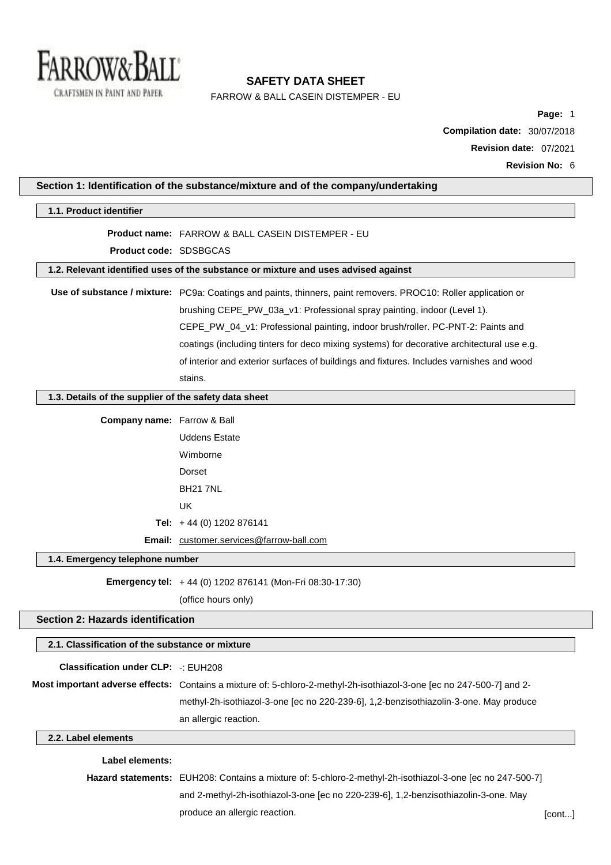

FARROW & BALL CASEIN DISTEMPER - EU

**Page:** 1 **Compilation date:** 30/07/2018 **Revision date:** 07/2021 **Revision No:** 6

| Section 1: Identification of the substance/mixture and of the company/undertaking |                                                                                                                       |        |
|-----------------------------------------------------------------------------------|-----------------------------------------------------------------------------------------------------------------------|--------|
| 1.1. Product identifier                                                           |                                                                                                                       |        |
|                                                                                   | <b>Product name: FARROW &amp; BALL CASEIN DISTEMPER - EU</b>                                                          |        |
| Product code: SDSBGCAS                                                            |                                                                                                                       |        |
|                                                                                   | 1.2. Relevant identified uses of the substance or mixture and uses advised against                                    |        |
|                                                                                   | Use of substance / mixture: PC9a: Coatings and paints, thinners, paint removers. PROC10: Roller application or        |        |
|                                                                                   | brushing CEPE_PW_03a_v1: Professional spray painting, indoor (Level 1).                                               |        |
|                                                                                   | CEPE_PW_04_v1: Professional painting, indoor brush/roller. PC-PNT-2: Paints and                                       |        |
|                                                                                   | coatings (including tinters for deco mixing systems) for decorative architectural use e.g.                            |        |
|                                                                                   | of interior and exterior surfaces of buildings and fixtures. Includes varnishes and wood                              |        |
|                                                                                   | stains.                                                                                                               |        |
|                                                                                   |                                                                                                                       |        |
| 1.3. Details of the supplier of the safety data sheet                             |                                                                                                                       |        |
| Company name: Farrow & Ball                                                       |                                                                                                                       |        |
|                                                                                   | <b>Uddens Estate</b>                                                                                                  |        |
|                                                                                   | Wimborne                                                                                                              |        |
|                                                                                   | Dorset                                                                                                                |        |
|                                                                                   | <b>BH21 7NL</b>                                                                                                       |        |
|                                                                                   | <b>UK</b>                                                                                                             |        |
|                                                                                   | Tel: +44 (0) 1202 876141                                                                                              |        |
|                                                                                   | Email: customer.services@farrow-ball.com                                                                              |        |
| 1.4. Emergency telephone number                                                   |                                                                                                                       |        |
|                                                                                   | Emergency tel: +44 (0) 1202 876141 (Mon-Fri 08:30-17:30)                                                              |        |
|                                                                                   | (office hours only)                                                                                                   |        |
| <b>Section 2: Hazards identification</b>                                          |                                                                                                                       |        |
| 2.1. Classification of the substance or mixture                                   |                                                                                                                       |        |
|                                                                                   |                                                                                                                       |        |
| <b>Classification under CLP: -: EUH208</b>                                        |                                                                                                                       |        |
|                                                                                   | Most important adverse effects: Contains a mixture of: 5-chloro-2-methyl-2h-isothiazol-3-one [ec no 247-500-7] and 2- |        |
|                                                                                   | methyl-2h-isothiazol-3-one [ec no 220-239-6], 1,2-benzisothiazolin-3-one. May produce                                 |        |
|                                                                                   | an allergic reaction.                                                                                                 |        |
| 2.2. Label elements                                                               |                                                                                                                       |        |
| Label elements:                                                                   |                                                                                                                       |        |
|                                                                                   | Hazard statements: EUH208: Contains a mixture of: 5-chloro-2-methyl-2h-isothiazol-3-one [ec no 247-500-7]             |        |
|                                                                                   | and 2-methyl-2h-isothiazol-3-one [ec no 220-239-6], 1,2-benzisothiazolin-3-one. May                                   |        |
|                                                                                   | produce an allergic reaction.                                                                                         | [cont] |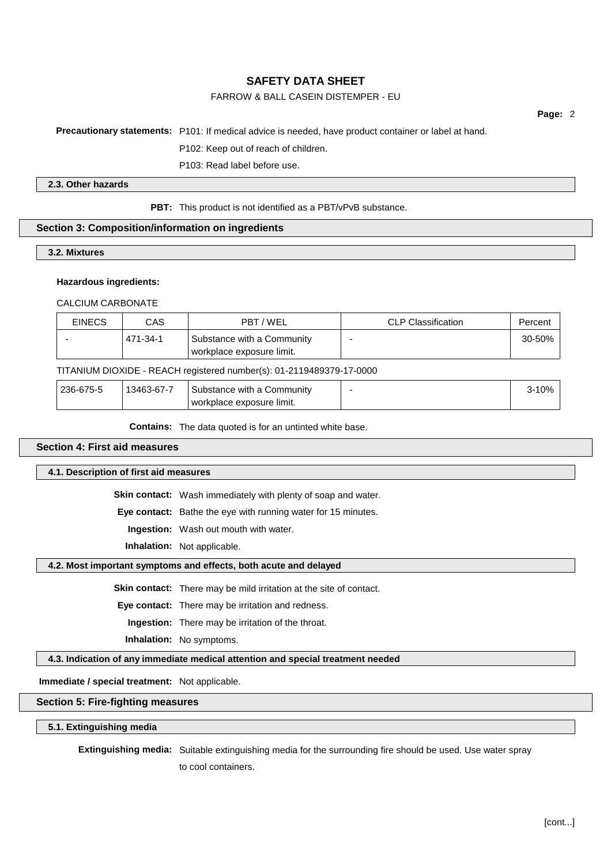## FARROW & BALL CASEIN DISTEMPER - EU

**Page:** 2

#### **Precautionary statements:** P101: If medical advice is needed, have product container or label at hand.

P102: Keep out of reach of children.

P103: Read label before use.

#### **2.3. Other hazards**

#### **PBT:** This product is not identified as a PBT/vPvB substance.

### **Section 3: Composition/information on ingredients**

**3.2. Mixtures**

#### **Hazardous ingredients:**

CALCIUM CARBONATE

| <b>EINECS</b> | CAS      | PBT / WEL                                               | <b>CLP Classification</b> | Percent |
|---------------|----------|---------------------------------------------------------|---------------------------|---------|
|               | 471-34-1 | Substance with a Community<br>workplace exposure limit. |                           | 30-50%  |

#### TITANIUM DIOXIDE - REACH registered number(s): 01-2119489379-17-0000

| 236-675-5 | 13463-67-7 | Substance with a Community | ،00 |  |
|-----------|------------|----------------------------|-----|--|
|           |            | workplace exposure limit.  |     |  |

**Contains:** The data quoted is for an untinted white base.

### **Section 4: First aid measures**

#### **4.1. Description of first aid measures**

**Skin contact:** Wash immediately with plenty of soap and water.

**Eye contact:** Bathe the eye with running water for 15 minutes.

**Ingestion:** Wash out mouth with water.

**Inhalation:** Not applicable.

#### **4.2. Most important symptoms and effects, both acute and delayed**

**Skin contact:** There may be mild irritation at the site of contact.

**Eye contact:** There may be irritation and redness.

**Ingestion:** There may be irritation of the throat.

**Inhalation:** No symptoms.

## **4.3. Indication of any immediate medical attention and special treatment needed**

**Immediate / special treatment:** Not applicable.

## **Section 5: Fire-fighting measures**

**5.1. Extinguishing media**

**Extinguishing media:** Suitable extinguishing media for the surrounding fire should be used. Use water spray

to cool containers.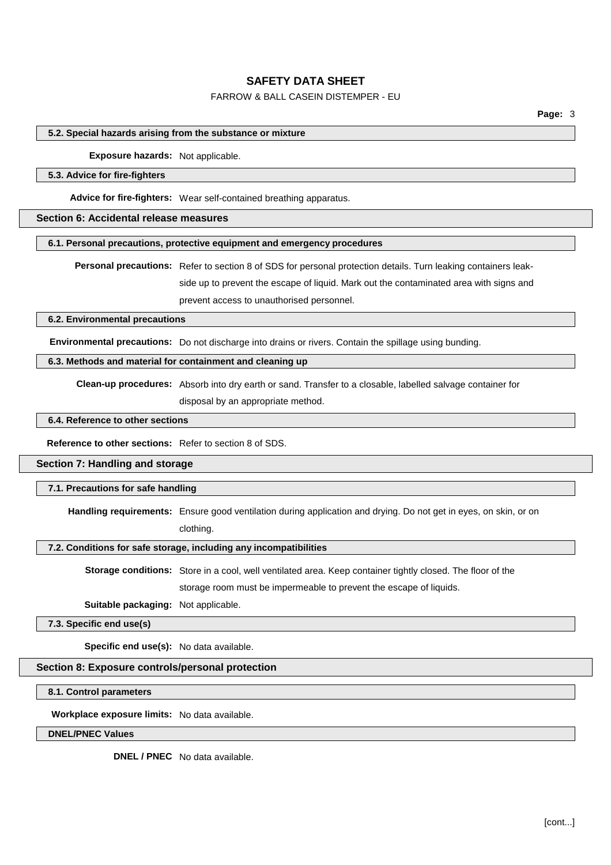## FARROW & BALL CASEIN DISTEMPER - EU

#### **5.2. Special hazards arising from the substance or mixture**

**Exposure hazards:** Not applicable.

#### **5.3. Advice for fire-fighters**

**Advice for fire-fighters:** Wear self-contained breathing apparatus.

### **Section 6: Accidental release measures**

### **6.1. Personal precautions, protective equipment and emergency procedures**

**Personal precautions:** Refer to section 8 of SDS for personal protection details. Turn leaking containers leakside up to prevent the escape of liquid. Mark out the contaminated area with signs and prevent access to unauthorised personnel.

## **6.2. Environmental precautions**

**Environmental precautions:** Do not discharge into drains or rivers. Contain the spillage using bunding.

### **6.3. Methods and material for containment and cleaning up**

**Clean-up procedures:** Absorb into dry earth or sand. Transfer to a closable, labelled salvage container for

disposal by an appropriate method.

#### **6.4. Reference to other sections**

**Reference to other sections:** Refer to section 8 of SDS.

#### **Section 7: Handling and storage**

#### **7.1. Precautions for safe handling**

**Handling requirements:** Ensure good ventilation during application and drying. Do not get in eyes, on skin, or on

clothing.

## **7.2. Conditions for safe storage, including any incompatibilities**

**Storage conditions:** Store in a cool, well ventilated area. Keep container tightly closed. The floor of the storage room must be impermeable to prevent the escape of liquids.

**Suitable packaging:** Not applicable.

**7.3. Specific end use(s)**

**Specific end use(s):** No data available.

### **Section 8: Exposure controls/personal protection**

**8.1. Control parameters**

**Workplace exposure limits:** No data available.

**DNEL/PNEC Values**

**DNEL / PNEC** No data available.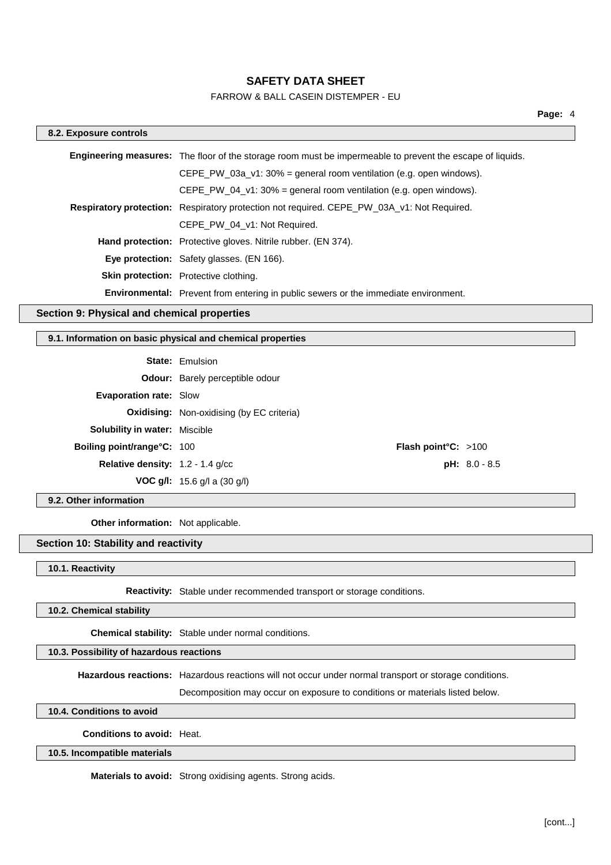## FARROW & BALL CASEIN DISTEMPER - EU

| 8.2. Exposure controls                     |                                                                                                                  |  |
|--------------------------------------------|------------------------------------------------------------------------------------------------------------------|--|
|                                            | <b>Engineering measures:</b> The floor of the storage room must be impermeable to prevent the escape of liquids. |  |
|                                            | CEPE PW 03a $v1:30\%$ = general room ventilation (e.g. open windows).                                            |  |
|                                            | CEPE PW 04 v1: $30\%$ = general room ventilation (e.g. open windows).                                            |  |
|                                            | <b>Respiratory protection:</b> Respiratory protection not required. CEPE PW 03A v1: Not Required.                |  |
|                                            | CEPE PW 04 v1: Not Required.                                                                                     |  |
|                                            | Hand protection: Protective gloves. Nitrile rubber. (EN 374).                                                    |  |
|                                            | <b>Eye protection:</b> Safety glasses. (EN 166).                                                                 |  |
|                                            | <b>Skin protection:</b> Protective clothing.                                                                     |  |
|                                            | <b>Environmental:</b> Prevent from entering in public sewers or the immediate environment.                       |  |
| satian A. Bhuaisel and abamisel nuanautisa |                                                                                                                  |  |

## **Section 9: Physical and chemical properties**

## **9.1. Information on basic physical and chemical properties**

|                                           | <b>State: Emulsion</b>                           |                 |
|-------------------------------------------|--------------------------------------------------|-----------------|
|                                           | <b>Odour:</b> Barely perceptible odour           |                 |
| <b>Evaporation rate: Slow</b>             |                                                  |                 |
|                                           | <b>Oxidising:</b> Non-oxidising (by EC criteria) |                 |
| <b>Solubility in water:</b> Miscible      |                                                  |                 |
| <b>Boiling point/range°C: 100</b>         | <b>Flash point °C:</b> $>100$                    |                 |
| <b>Relative density:</b> $1.2 - 1.4$ g/cc |                                                  | $pH: 8.0 - 8.5$ |
|                                           | <b>VOC g/l:</b> 15.6 g/l a $(30 \text{ g/l})$    |                 |

**9.2. Other information**

**Other information:** Not applicable.

## **Section 10: Stability and reactivity**

**10.1. Reactivity**

**Reactivity:** Stable under recommended transport or storage conditions.

**10.2. Chemical stability**

**Chemical stability:** Stable under normal conditions.

## **10.3. Possibility of hazardous reactions**

**Hazardous reactions:** Hazardous reactions will not occur under normal transport or storage conditions.

Decomposition may occur on exposure to conditions or materials listed below.

**10.4. Conditions to avoid**

**Conditions to avoid:** Heat.

#### **10.5. Incompatible materials**

**Materials to avoid:** Strong oxidising agents. Strong acids.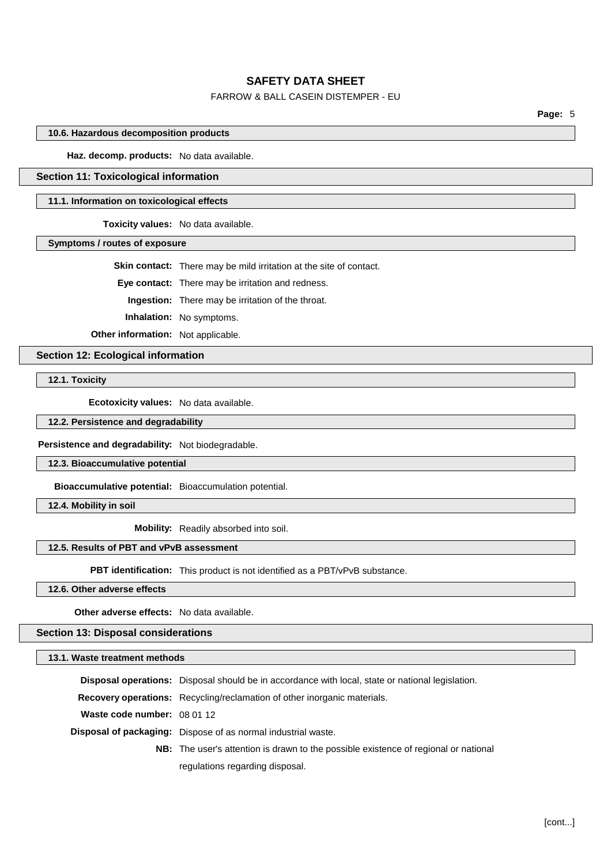## FARROW & BALL CASEIN DISTEMPER - EU

**Page:** 5

#### **10.6. Hazardous decomposition products**

**Haz. decomp. products:** No data available.

## **Section 11: Toxicological information**

#### **11.1. Information on toxicological effects**

**Toxicity values:** No data available.

**Symptoms / routes of exposure**

**Skin contact:** There may be mild irritation at the site of contact.

**Eye contact:** There may be irritation and redness.

**Ingestion:** There may be irritation of the throat.

**Inhalation:** No symptoms.

**Other information:** Not applicable.

**Section 12: Ecological information**

**12.1. Toxicity**

**Ecotoxicity values:** No data available.

**12.2. Persistence and degradability**

**Persistence and degradability:** Not biodegradable.

**12.3. Bioaccumulative potential**

**Bioaccumulative potential:** Bioaccumulation potential.

**12.4. Mobility in soil**

**Mobility:** Readily absorbed into soil.

### **12.5. Results of PBT and vPvB assessment**

**PBT identification:** This product is not identified as a PBT/vPvB substance.

**12.6. Other adverse effects**

**Other adverse effects:** No data available.

## **Section 13: Disposal considerations**

**13.1. Waste treatment methods**

|                             | <b>Disposal operations:</b> Disposal should be in accordance with local, state or national legislation. |
|-----------------------------|---------------------------------------------------------------------------------------------------------|
|                             | <b>Recovery operations:</b> Recycling/reclamation of other inorganic materials.                         |
| Waste code number: 08 01 12 |                                                                                                         |
|                             | <b>Disposal of packaging:</b> Dispose of as normal industrial waste.                                    |
|                             | <b>NB:</b> The user's attention is drawn to the possible existence of regional or national              |
|                             | regulations regarding disposal.                                                                         |